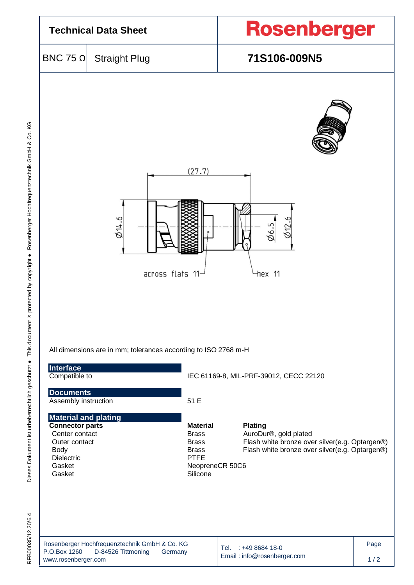